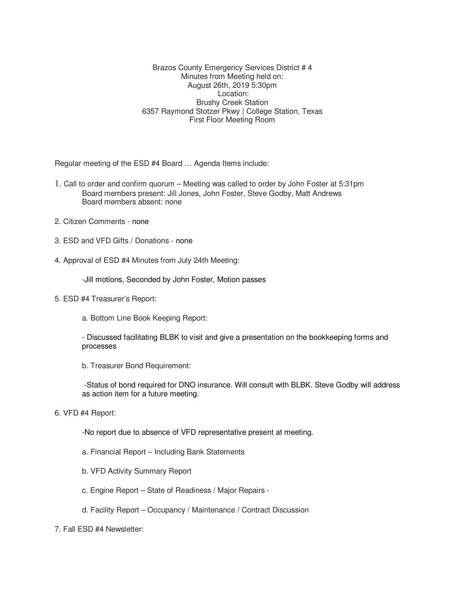Brazos County Emergency Services District # 4 Minutes from Meeting held on: August 26th, 2019 5:30pm Location: Brushy Creek Station 6357 Raymond Stotzer Pkwy | College Station, Texas First Floor Meeting Room

Regular meeting of the ESD #4 Board … Agenda Items include:

- 1. Call to order and confirm quorum Meeting was called to order by John Foster at 5:31pm Board members present: Jill Jones, John Foster, Steve Godby, Matt Andrews Board members absent: none
- 2. Citizen Comments none
- 3. ESD and VFD Gifts / Donations none
- 4. Approval of ESD #4 Minutes from July 24th Meeting:

-Jill motions, Seconded by John Foster, Motion passes

- 5. ESD #4 Treasurer's Report:
	- a. Bottom Line Book Keeping Report:
	- Discussed facilitating BLBK to visit and give a presentation on the bookkeeping forms and processes
	- b. Treasurer Bond Requirement:

 -Status of bond required for DNO insurance. Will consult with BLBK. Steve Godby will address as action item for a future meeting.

6. VFD #4 Report:

-No report due to absence of VFD representative present at meeting.

- a. Financial Report Including Bank Statements
- b. VFD Activity Summary Report
- c. Engine Report State of Readiness / Major Repairs -
- d. Facility Report Occupancy / Maintenance / Contract Discussion
- 7. Fall ESD #4 Newsletter: